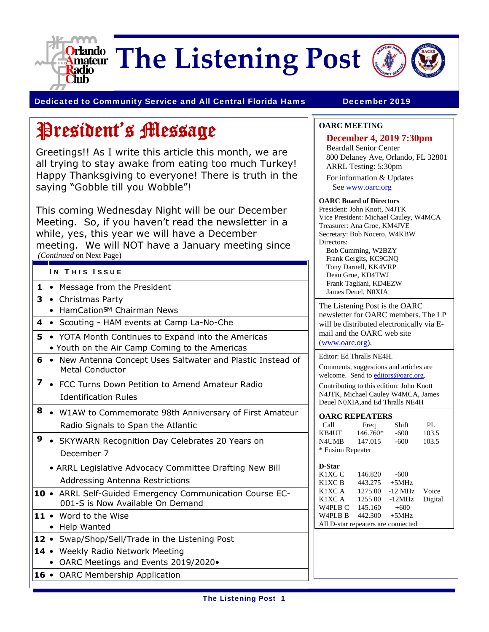

**The Listening Post**



#### Dedicated to Community Service and All Central Florida Hams **December 2019**

# President's Message

Greetings!! As I write this article this month, we are all trying to stay awake from eating too much Turkey! Happy Thanksgiving to everyone! There is truth in the saying "Gobble till you Wobble"!

This coming Wednesday Night will be our December Meeting. So, if you haven't read the newsletter in a while, yes, this year we will have a December meeting. We will NOT have a January meeting since  *(Continued* on Next Page)

#### IN THIS ISSUE

- **1** Message from the President
- **3**  Christmas Party
	- HamCationSM Chairman News
- **4**  Scouting HAM events at Camp La-No-Che
- **5** YOTA Month Continues to Expand into the Americas • Youth on the Air Camp Coming to the Americas
- **6** New Antenna Concept Uses Saltwater and Plastic Instead of Metal Conductor
- **7**  FCC Turns Down Petition to Amend Amateur Radio Identification Rules
- **8** W1AW to Commemorate 98th Anniversary of First Amateur Radio Signals to Span the Atlantic
- **9**  SKYWARN Recognition Day Celebrates 20 Years on December 7
	- ARRL Legislative Advocacy Committee Drafting New Bill Addressing Antenna Restrictions
- **10**  ARRL Self-Guided Emergency Communication Course EC-001-S is Now Available On Demand
- **11**  Word to the Wise
	- Help Wanted
- **12**  Swap/Shop/Sell/Trade in the Listening Post
- 14 Weekly Radio Network Meeting
- OARC Meetings and Events 2019/2020•
- **16**  OARC Membership Application

#### **OARC MEETING**

#### **December 4, 2019 7:30pm**

Beardall Senior Center 800 Delaney Ave, Orlando, FL 32801 ARRL Testing: 5:30pm

For information & Updates See www.oarc.org

#### **OARC Board of Directors**

President: John Knott, N4JTK Vice President: Michael Cauley, W4MCA Treasurer: Ana Groe, KM4JVE Secretary: Bob Nocero, W4KBW Directors: Bob Cumming, W2BZY Frank Gergits, KC9GNQ Tony Darnell, KK4VRP Dean Groe, KD4TWJ Frank Tagliani, KD4EZW James Deuel, N0XIA

The Listening Post is the OARC newsletter for OARC members. The LP will be distributed electronically via Email and the OARC web site (www.oarc.org).

Editor: Ed Thralls NE4H.

Comments, suggestions and articles are welcome. Send to editors@oarc.org.

Contributing to this edition: John Knott N4JTK, Michael Cauley W4MCA, James Deuel N0XIA,and Ed Thralls NE4H

| <b>OARC REPEATERS</b> |          |        |       |  |
|-----------------------|----------|--------|-------|--|
| Call                  | Freq     | Shift  | PI.   |  |
| KB4UT                 | 146.760* | $-600$ | 103.5 |  |
| N4UMB                 | 147.015  | $-600$ | 103.5 |  |
| * Fusion Repeater     |          |        |       |  |

| <i>. .</i>                         |                  |                |  |
|------------------------------------|------------------|----------------|--|
| K1XC C                             | 146.820          | $-600$         |  |
| K1XC B                             | 443.275          | $+5MHz$        |  |
| K1XC A                             | 1275.00          | -12 MHz Voice  |  |
| K1XC A                             | 1255.00          | -12MHz Digital |  |
| W4PLB C                            | 145.160          | $+600$         |  |
| W4PLB B                            | $442.300 + 5MHz$ |                |  |
| All D-star repeaters are connected |                  |                |  |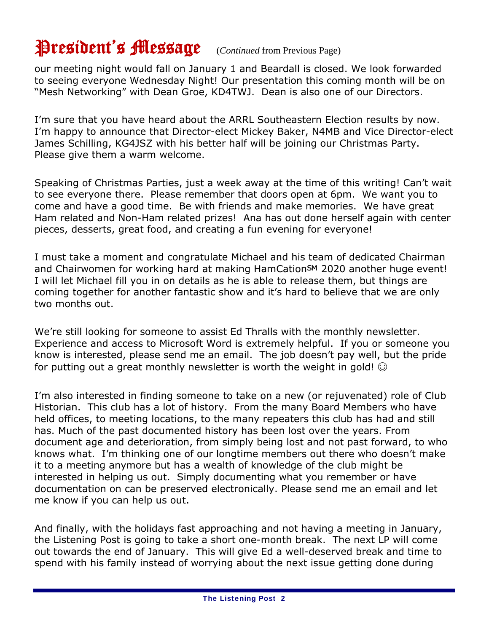# President's Message (*Continued* from Previous Page)

our meeting night would fall on January 1 and Beardall is closed. We look forwarded to seeing everyone Wednesday Night! Our presentation this coming month will be on "Mesh Networking" with Dean Groe, KD4TWJ. Dean is also one of our Directors.

I'm sure that you have heard about the ARRL Southeastern Election results by now. I'm happy to announce that Director-elect Mickey Baker, N4MB and Vice Director-elect James Schilling, KG4JSZ with his better half will be joining our Christmas Party. Please give them a warm welcome.

Speaking of Christmas Parties, just a week away at the time of this writing! Can't wait to see everyone there. Please remember that doors open at 6pm. We want you to come and have a good time. Be with friends and make memories. We have great Ham related and Non-Ham related prizes! Ana has out done herself again with center pieces, desserts, great food, and creating a fun evening for everyone!

I must take a moment and congratulate Michael and his team of dedicated Chairman and Chairwomen for working hard at making HamCation<sup>SM</sup> 2020 another huge event! I will let Michael fill you in on details as he is able to release them, but things are coming together for another fantastic show and it's hard to believe that we are only two months out.

We're still looking for someone to assist Ed Thralls with the monthly newsletter. Experience and access to Microsoft Word is extremely helpful. If you or someone you know is interested, please send me an email. The job doesn't pay well, but the pride for putting out a great monthly newsletter is worth the weight in gold!  $\odot$ 

I'm also interested in finding someone to take on a new (or rejuvenated) role of Club Historian. This club has a lot of history. From the many Board Members who have held offices, to meeting locations, to the many repeaters this club has had and still has. Much of the past documented history has been lost over the years. From document age and deterioration, from simply being lost and not past forward, to who knows what. I'm thinking one of our longtime members out there who doesn't make it to a meeting anymore but has a wealth of knowledge of the club might be interested in helping us out. Simply documenting what you remember or have documentation on can be preserved electronically. Please send me an email and let me know if you can help us out.

And finally, with the holidays fast approaching and not having a meeting in January, the Listening Post is going to take a short one-month break. The next LP will come out towards the end of January. This will give Ed a well-deserved break and time to spend with his family instead of worrying about the next issue getting done during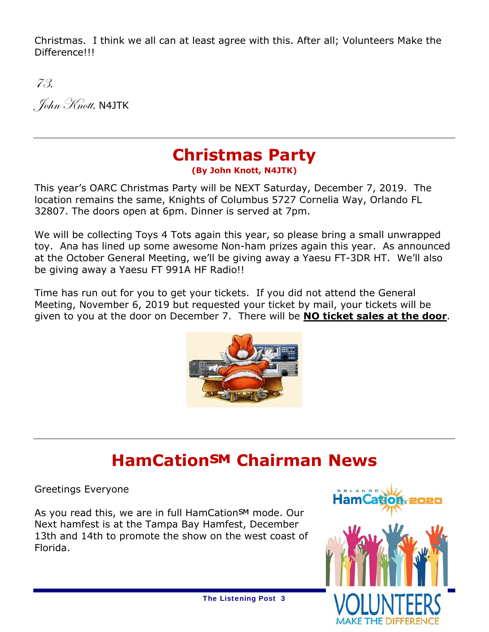Christmas. I think we all can at least agree with this. After all; Volunteers Make the Difference!!!

73.  $\int$  John Knott, N4JTK

### **Christmas Party**

**(By John Knott, N4JTK)**

This year's OARC Christmas Party will be NEXT Saturday, December 7, 2019. The location remains the same, Knights of Columbus 5727 Cornelia Way, Orlando FL 32807. The doors open at 6pm. Dinner is served at 7pm.

We will be collecting Toys 4 Tots again this year, so please bring a small unwrapped toy. Ana has lined up some awesome Non-ham prizes again this year. As announced at the October General Meeting, we'll be giving away a Yaesu FT-3DR HT. We'll also be giving away a Yaesu FT 991A HF Radio!!

Time has run out for you to get your tickets. If you did not attend the General Meeting, November 6, 2019 but requested your ticket by mail, your tickets will be given to you at the door on December 7. There will be **NO ticket sales at the door**.



# **HamCation<sup>SM</sup> Chairman News**

Greetings Everyone

As you read this, we are in full HamCation<sup>SM</sup> mode. Our Next hamfest is at the Tampa Bay Hamfest, December 13th and 14th to promote the show on the west coast of Florida.

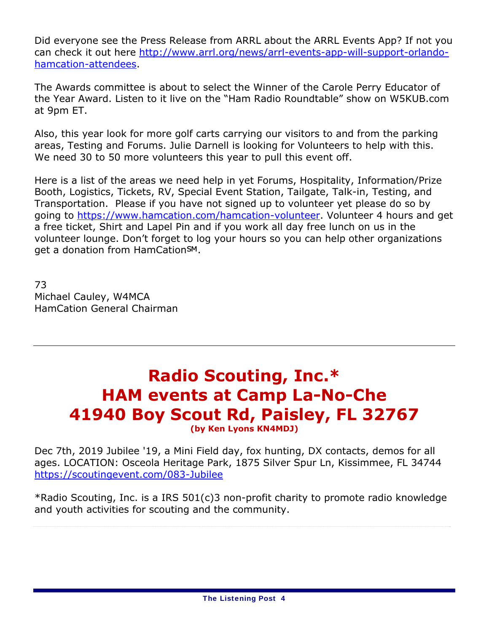Did everyone see the Press Release from ARRL about the ARRL Events App? If not you can check it out here http://www.arrl.org/news/arrl-events-app-will-support-orlandohamcation-attendees.

The Awards committee is about to select the Winner of the Carole Perry Educator of the Year Award. Listen to it live on the "Ham Radio Roundtable" show on W5KUB.com at 9pm ET.

Also, this year look for more golf carts carrying our visitors to and from the parking areas, Testing and Forums. Julie Darnell is looking for Volunteers to help with this. We need 30 to 50 more volunteers this year to pull this event off.

Here is a list of the areas we need help in yet Forums, Hospitality, Information/Prize Booth, Logistics, Tickets, RV, Special Event Station, Tailgate, Talk-in, Testing, and Transportation. Please if you have not signed up to volunteer yet please do so by going to https://www.hamcation.com/hamcation-volunteer. Volunteer 4 hours and get a free ticket, Shirt and Lapel Pin and if you work all day free lunch on us in the volunteer lounge. Don't forget to log your hours so you can help other organizations get a donation from HamCationSM.

73 Michael Cauley, W4MCA HamCation General Chairman

#### **Radio Scouting, Inc.\* HAM events at Camp La-No-Che 41940 Boy Scout Rd, Paisley, FL 32767 (by Ken Lyons KN4MDJ)**

Dec 7th, 2019 Jubilee '19, a Mini Field day, fox hunting, DX contacts, demos for all ages. LOCATION: Osceola Heritage Park, 1875 Silver Spur Ln, Kissimmee, FL 34744 https://scoutingevent.com/083-Jubilee

\*Radio Scouting, Inc. is a IRS 501(c)3 non-profit charity to promote radio knowledge and youth activities for scouting and the community.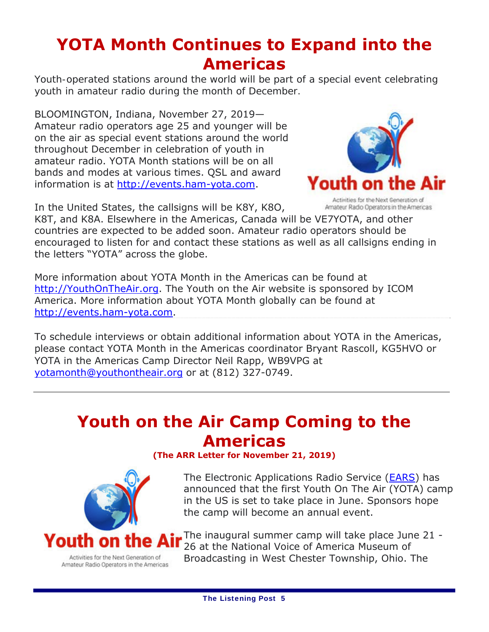### **YOTA Month Continues to Expand into the Americas**

Youth-operated stations around the world will be part of a special event celebrating *youth in amateur radio during the month of December.* 

BLOOMINGTON, Indiana, November 27, 2019— Amateur radio operators age 25 and younger will be on the air as special event stations around the world throughout December in celebration of youth in amateur radio. YOTA Month stations will be on all bands and modes at various times. QSL and award information is at http://events.ham-yota.com.



Activities for the Next Generation of Amateur Radio Operators in the Americas

In the United States, the callsigns will be K8Y, K8O, K8T, and K8A. Elsewhere in the Americas, Canada will be VE7YOTA, and other countries are expected to be added soon. Amateur radio operators should be encouraged to listen for and contact these stations as well as all callsigns ending in the letters "YOTA" across the globe.

More information about YOTA Month in the Americas can be found at http://YouthOnTheAir.org. The Youth on the Air website is sponsored by ICOM America. More information about YOTA Month globally can be found at http://events.ham-yota.com.

To schedule interviews or obtain additional information about YOTA in the Americas, please contact YOTA Month in the Americas coordinator Bryant Rascoll, KG5HVO or YOTA in the Americas Camp Director Neil Rapp, WB9VPG at yotamonth@youthontheair.org or at (812) 327-0749.

### **Youth on the Air Camp Coming to the Americas**

**(The ARR Letter for November 21, 2019)** 



The Electronic Applications Radio Service (EARS) has announced that the first Youth On The Air (YOTA) camp in the US is set to take place in June. Sponsors hope the camp will become an annual event.

The inaugural summer camp will take place June 21 - 26 at the National Voice of America Museum of Broadcasting in West Chester Township, Ohio. The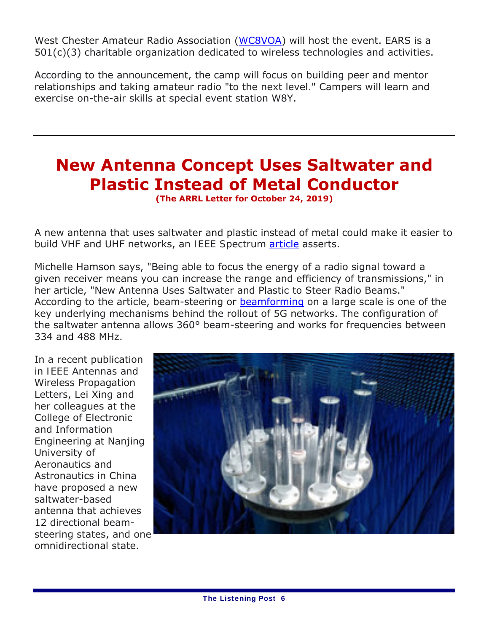West Chester Amateur Radio Association (WC8VOA) will host the event. EARS is a 501(c)(3) charitable organization dedicated to wireless technologies and activities.

According to the announcement, the camp will focus on building peer and mentor relationships and taking amateur radio "to the next level." Campers will learn and exercise on-the-air skills at special event station W8Y.

#### **New Antenna Concept Uses Saltwater and Plastic Instead of Metal Conductor**

**(The ARRL Letter for October 24, 2019)**

A new antenna that uses saltwater and plastic instead of metal could make it easier to build VHF and UHF networks, an *IEEE Spectrum* article asserts.

Michelle Hamson says, "Being able to focus the energy of a radio signal toward a given receiver means you can increase the range and efficiency of transmissions," in her article, "New Antenna Uses Saltwater and Plastic to Steer Radio Beams." According to the article, beam-steering or **beamforming** on a large scale is one of the key underlying mechanisms behind the rollout of 5G networks. The configuration of the saltwater antenna allows 360° beam-steering and works for frequencies between 334 and 488 MHz.

In a recent publication in *IEEE Antennas and Wireless Propagation Letters*, Lei Xing and her colleagues at the College of Electronic and Information Engineering at Nanjing University of Aeronautics and Astronautics in China have proposed a new saltwater-based antenna that achieves 12 directional beamsteering states, and one omnidirectional state.

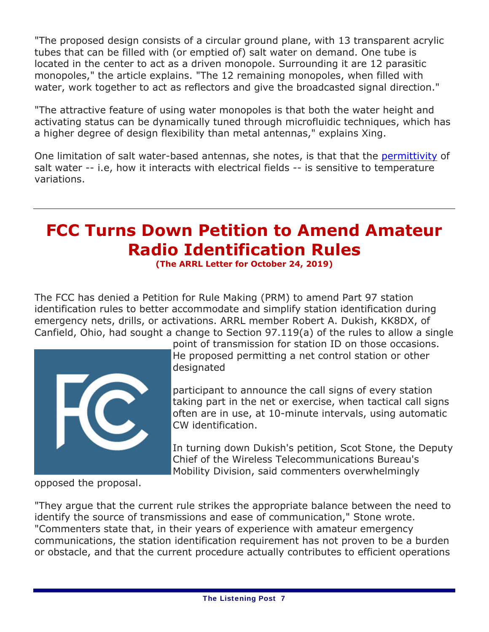"The proposed design consists of a circular ground plane, with 13 transparent acrylic tubes that can be filled with (or emptied of) salt water on demand. One tube is located in the center to act as a driven monopole. Surrounding it are 12 parasitic monopoles," the article explains. "The 12 remaining monopoles, when filled with water, work together to act as reflectors and give the broadcasted signal direction."

"The attractive feature of using water monopoles is that both the water height and activating status can be dynamically tuned through microfluidic techniques, which has a higher degree of design flexibility than metal antennas," explains Xing.

One limitation of salt water-based antennas, she notes, is that that the permittivity of salt water -- i.e, how it interacts with electrical fields -- is sensitive to temperature variations.

# **FCC Turns Down Petition to Amend Amateur Radio Identification Rules**

**(The ARRL Letter for October 24, 2019)** 

The FCC has denied a Petition for Rule Making (PRM) to amend Part 97 station identification rules to better accommodate and simplify station identification during emergency nets, drills, or activations. ARRL member Robert A. Dukish, KK8DX, of Canfield, Ohio, had sought a change to Section 97.119(a) of the rules to allow a single



point of transmission for station ID on those occasions. He proposed permitting a net control station or other designated

participant to announce the call signs of every station taking part in the net or exercise, when tactical call signs often are in use, at 10-minute intervals, using automatic CW identification.

In turning down Dukish's petition, Scot Stone, the Deputy Chief of the Wireless Telecommunications Bureau's Mobility Division, said commenters overwhelmingly

opposed the proposal.

"They argue that the current rule strikes the appropriate balance between the need to identify the source of transmissions and ease of communication," Stone wrote. "Commenters state that, in their years of experience with amateur emergency communications, the station identification requirement has not proven to be a burden or obstacle, and that the current procedure actually contributes to efficient operations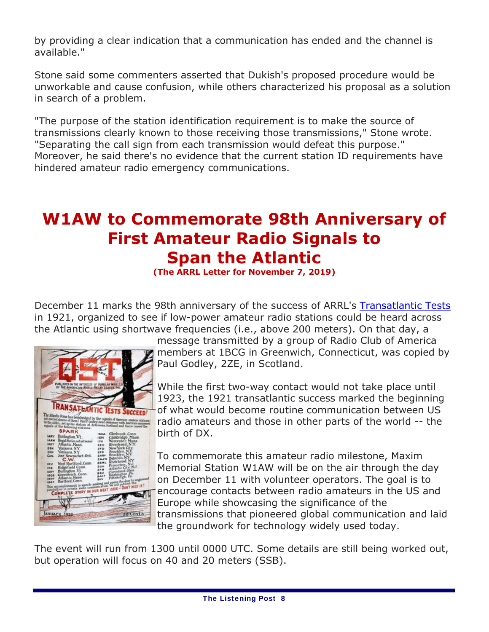by providing a clear indication that a communication has ended and the channel is available."

Stone said some commenters asserted that Dukish's proposed procedure would be unworkable and cause confusion, while others characterized his proposal as a solution in search of a problem.

"The purpose of the station identification requirement is to make the source of transmissions clearly known to those receiving those transmissions," Stone wrote. "Separating the call sign from each transmission would defeat this purpose." Moreover, he said there's no evidence that the current station ID requirements have hindered amateur radio emergency communications.

# **W1AW to Commemorate 98th Anniversary of First Amateur Radio Signals to Span the Atlantic**

**(The ARRL Letter for November 7, 2019)** 

December 11 marks the 98th anniversary of the success of ARRL's Transatlantic Tests in 1921, organized to see if low-power amateur radio stations could be heard across the Atlantic using shortwave frequencies (i.e., above 200 meters). On that day, a



message transmitted by a group of Radio Club of America members at 1BCG in Greenwich, Connecticut, was copied by Paul Godley, 2ZE, in Scotland.

While the first two-way contact would not take place until 1923, the 1921 transatlantic success marked the beginning of what would become routine communication between US radio amateurs and those in other parts of the world -- the birth of DX.

To commemorate this amateur radio milestone, Maxim Memorial Station W1AW will be on the air through the day on December 11 with volunteer operators. The goal is to encourage contacts between radio amateurs in the US and Europe while showcasing the significance of the transmissions that pioneered global communication and laid the groundwork for technology widely used today.

The event will run from 1300 until 0000 UTC. Some details are still being worked out, but operation will focus on 40 and 20 meters (SSB).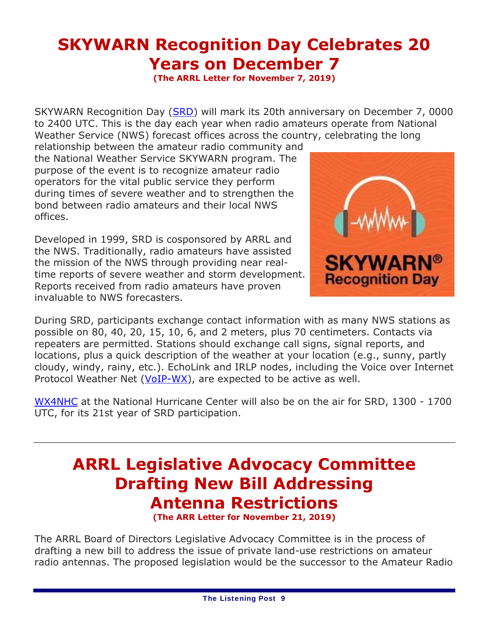# **SKYWARN Recognition Day Celebrates 20 Years on December 7**

**(The ARRL Letter for November 7, 2019)** 

SKYWARN Recognition Day (SRD) will mark its 20th anniversary on December 7, 0000 to 2400 UTC. This is the day each year when radio amateurs operate from National Weather Service (NWS) forecast offices across the country, celebrating the long

relationship between the amateur radio community and the National Weather Service SKYWARN program. The purpose of the event is to recognize amateur radio operators for the vital public service they perform during times of severe weather and to strengthen the bond between radio amateurs and their local NWS offices.

Developed in 1999, SRD is cosponsored by ARRL and the NWS. Traditionally, radio amateurs have assisted the mission of the NWS through providing near realtime reports of severe weather and storm development. Reports received from radio amateurs have proven invaluable to NWS forecasters.



During SRD, participants exchange contact information with as many NWS stations as possible on 80, 40, 20, 15, 10, 6, and 2 meters, plus 70 centimeters. Contacts via repeaters are permitted. Stations should exchange call signs, signal reports, and locations, plus a quick description of the weather at your location (e.g., sunny, partly cloudy, windy, rainy, etc.). EchoLink and IRLP nodes, including the Voice over Internet Protocol Weather Net (VoIP-WX), are expected to be active as well.

WX4NHC at the National Hurricane Center will also be on the air for SRD, 1300 - 1700 UTC, for its 21st year of SRD participation.

### **ARRL Legislative Advocacy Committee Drafting New Bill Addressing Antenna Restrictions**

**(The ARR Letter for November 21, 2019)** 

The ARRL Board of Directors Legislative Advocacy Committee is in the process of drafting a new bill to address the issue of private land-use restrictions on amateur radio antennas. The proposed legislation would be the successor to the Amateur Radio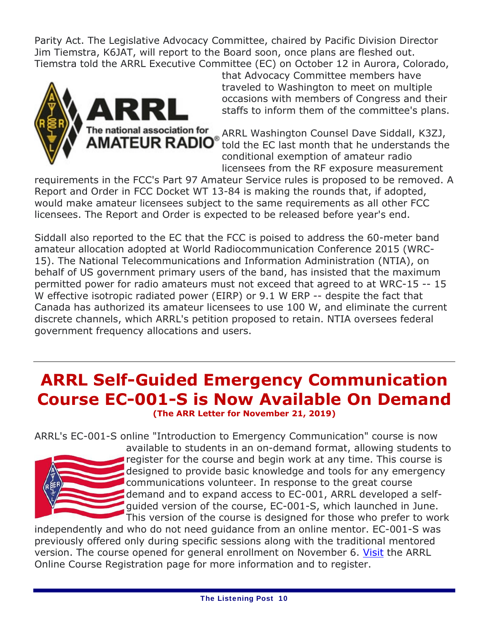Parity Act. The Legislative Advocacy Committee, chaired by Pacific Division Director Jim Tiemstra, K6JAT, will report to the Board soon, once plans are fleshed out. Tiemstra told the ARRL Executive Committee (EC) on October 12 in Aurora, Colorado,



that Advocacy Committee members have traveled to Washington to meet on multiple occasions with members of Congress and their staffs to inform them of the committee's plans.

ARRL Washington Counsel Dave Siddall, K3ZJ, told the EC last month that he understands the conditional exemption of amateur radio licensees from the RF exposure measurement

requirements in the FCC's Part 97 Amateur Service rules is proposed to be removed. A *Report and Order* in FCC Docket WT 13-84 is making the rounds that, if adopted, would make amateur licensees subject to the same requirements as all other FCC licensees. The *Report and Order* is expected to be released before year's end.

Siddall also reported to the EC that the FCC is poised to address the 60-meter band amateur allocation adopted at World Radiocommunication Conference 2015 (WRC-15). The National Telecommunications and Information Administration (NTIA), on behalf of US government primary users of the band, has insisted that the maximum permitted power for radio amateurs must not exceed that agreed to at WRC-15 -- 15 W effective isotropic radiated power (EIRP) or 9.1 W ERP -- despite the fact that Canada has authorized its amateur licensees to use 100 W, and eliminate the current discrete channels, which ARRL's petition proposed to retain. NTIA oversees federal government frequency allocations and users.

#### **ARRL Self-Guided Emergency Communication Course EC-001-S is Now Available On Demand (The ARR Letter for November 21, 2019)**

ARRL's EC-001-S online "Introduction to Emergency Communication" course is now



available to students in an on-demand format, allowing students to register for the course and begin work at any time. This course is designed to provide basic knowledge and tools for any emergency communications volunteer. In response to the great course demand and to expand access to EC-001, ARRL developed a selfguided version of the course, EC-001-S, which launched in June. This version of the course is designed for those who prefer to work

independently and who do not need guidance from an online mentor. EC-001-S was previously offered only during specific sessions along with the traditional mentored version. The course opened for general enrollment on November 6. Visit the ARRL Online Course Registration page for more information and to register.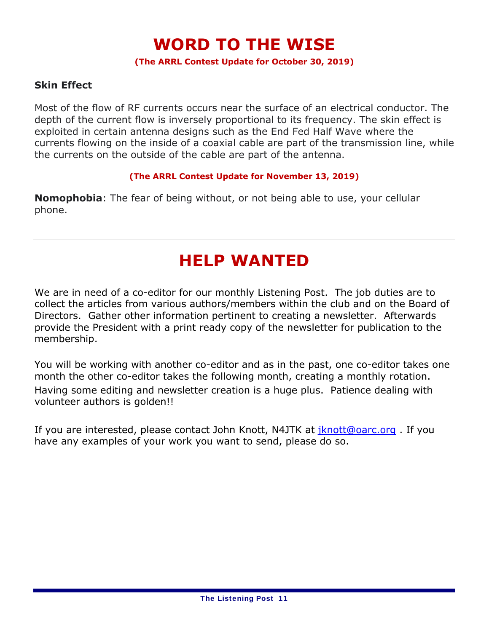#### **WORD TO THE WISE**

#### **(The ARRL Contest Update for October 30, 2019)**

#### **Skin Effect**

Most of the flow of RF currents occurs near the surface of an electrical conductor. The depth of the current flow is inversely proportional to its frequency. The skin effect is exploited in certain antenna designs such as the End Fed Half Wave where the currents flowing on the inside of a coaxial cable are part of the transmission line, while the currents on the outside of the cable are part of the antenna.

#### **(The ARRL Contest Update for November 13, 2019)**

**Nomophobia**: The fear of being without, or not being able to use, your cellular phone.

### **HELP WANTED**

We are in need of a co-editor for our monthly Listening Post. The job duties are to collect the articles from various authors/members within the club and on the Board of Directors. Gather other information pertinent to creating a newsletter. Afterwards provide the President with a print ready copy of the newsletter for publication to the membership.

You will be working with another co-editor and as in the past, one co-editor takes one month the other co-editor takes the following month, creating a monthly rotation. Having some editing and newsletter creation is a huge plus. Patience dealing with volunteer authors is golden!!

If you are interested, please contact John Knott, N4JTK at *jknott@oarc.org*. If you have any examples of your work you want to send, please do so.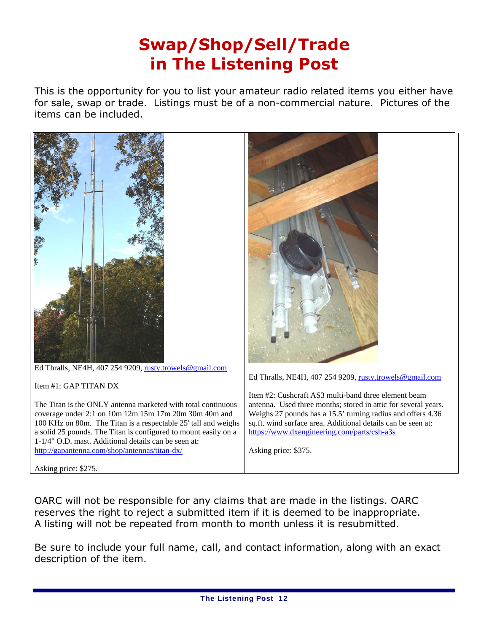### **Swap/Shop/Sell/Trade in** *The Listening Post*

This is the opportunity for you to list your amateur radio related items you either have for sale, swap or trade. Listings must be of a non-commercial nature. Pictures of the items can be included.



Asking price: \$275.

OARC will not be responsible for any claims that are made in the listings. OARC reserves the right to reject a submitted item if it is deemed to be inappropriate. A listing will not be repeated from month to month unless it is resubmitted.

Be sure to include your full name, call, and contact information, along with an exact description of the item.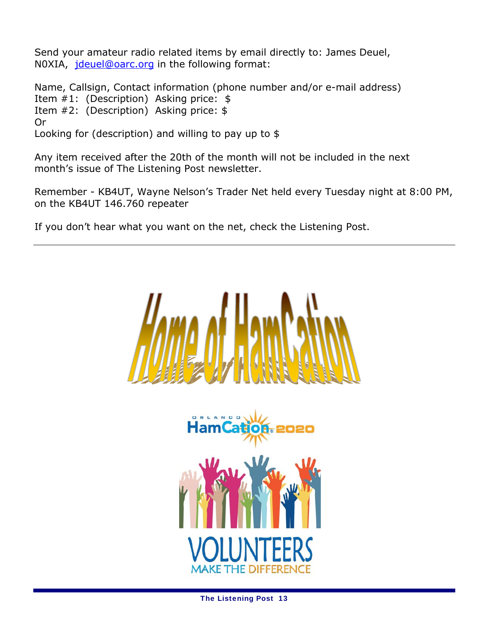Send your amateur radio related items by email directly to: James Deuel, N0XIA, jdeuel@oarc.org in the following format:

Name, Callsign, Contact information (phone number and/or e-mail address) Item #1: (Description) Asking price: \$ Item #2: (Description) Asking price: \$ Or Looking for (description) and willing to pay up to \$

Any item received after the 20th of the month will not be included in the next month's issue of *The Listening Post* newsletter.

Remember - KB4UT, Wayne Nelson's Trader Net held every Tuesday night at 8:00 PM, on the KB4UT 146.760 repeater

If you don't hear what you want on the net, check the Listening Post.

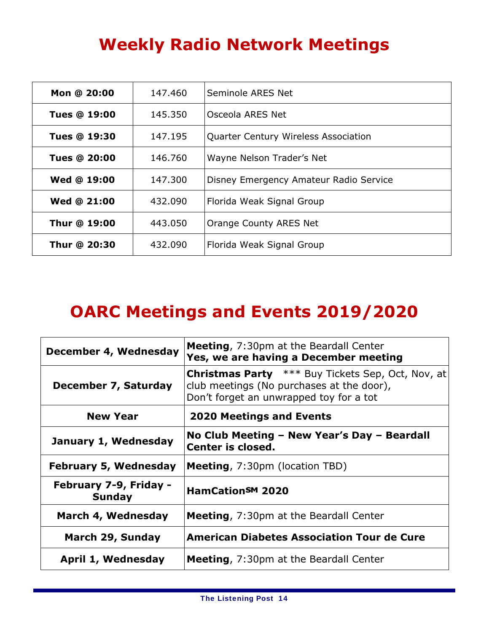## **Weekly Radio Network Meetings**

| Mon @ 20:00         | 147.460 | Seminole ARES Net                           |
|---------------------|---------|---------------------------------------------|
| <b>Tues @ 19:00</b> | 145.350 | Osceola ARES Net                            |
| <b>Tues @ 19:30</b> | 147.195 | <b>Quarter Century Wireless Association</b> |
| <b>Tues @ 20:00</b> | 146.760 | Wayne Nelson Trader's Net                   |
| Wed @ 19:00         | 147.300 | Disney Emergency Amateur Radio Service      |
| Wed @ 21:00         | 432.090 | Florida Weak Signal Group                   |
| Thur @ 19:00        | 443.050 | Orange County ARES Net                      |
| Thur @ 20:30        | 432.090 | Florida Weak Signal Group                   |

# **OARC Meetings and Events 2019/2020**

| December 4, Wednesday                   | <b>Meeting, 7:30pm at the Beardall Center</b><br>Yes, we are having a December meeting                                                           |  |
|-----------------------------------------|--------------------------------------------------------------------------------------------------------------------------------------------------|--|
| December 7, Saturday                    | <b>Christmas Party</b> *** Buy Tickets Sep, Oct, Nov, at<br>club meetings (No purchases at the door),<br>Don't forget an unwrapped toy for a tot |  |
| <b>New Year</b>                         | <b>2020 Meetings and Events</b>                                                                                                                  |  |
| January 1, Wednesday                    | No Club Meeting - New Year's Day - Beardall<br>Center is closed.                                                                                 |  |
| <b>February 5, Wednesday</b>            | <b>Meeting, 7:30pm (location TBD)</b>                                                                                                            |  |
| February 7-9, Friday -<br><b>Sunday</b> | HamCation <sup>SM</sup> 2020                                                                                                                     |  |
| March 4, Wednesday                      | <b>Meeting, 7:30pm at the Beardall Center</b>                                                                                                    |  |
| March 29, Sunday                        | <b>American Diabetes Association Tour de Cure</b>                                                                                                |  |
| April 1, Wednesday                      | <b>Meeting, 7:30pm at the Beardall Center</b>                                                                                                    |  |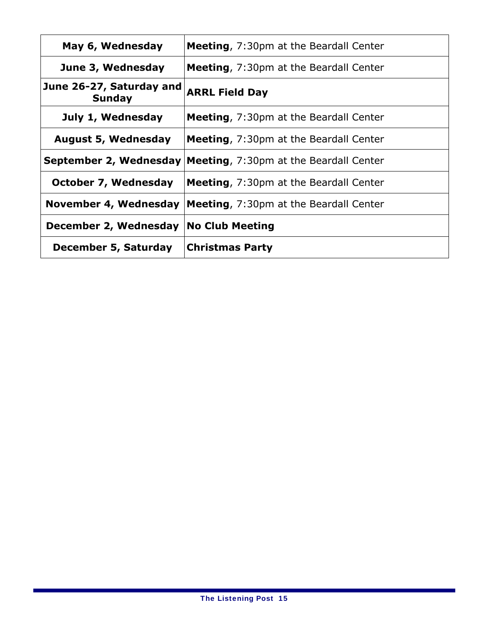| May 6, Wednesday                   | <b>Meeting, 7:30pm at the Beardall Center</b>                   |
|------------------------------------|-----------------------------------------------------------------|
| June 3, Wednesday                  | <b>Meeting, 7:30pm at the Beardall Center</b>                   |
| June 26-27, Saturday and<br>Sunday | <b>ARRL Field Day</b>                                           |
| July 1, Wednesday                  | <b>Meeting, 7:30pm at the Beardall Center</b>                   |
| <b>August 5, Wednesday</b>         | <b>Meeting, 7:30pm at the Beardall Center</b>                   |
|                                    | September 2, Wednesday   Meeting, 7:30pm at the Beardall Center |
| October 7, Wednesday               | <b>Meeting, 7:30pm at the Beardall Center</b>                   |
| November 4, Wednesday              | <b>Meeting, 7:30pm at the Beardall Center</b>                   |
| December 2, Wednesday              | <b>No Club Meeting</b>                                          |
| December 5, Saturday               | <b>Christmas Party</b>                                          |